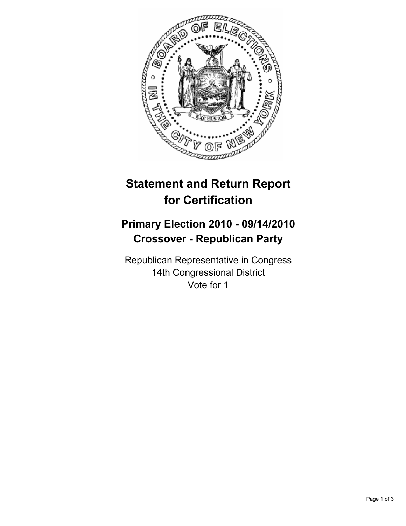

# **Statement and Return Report for Certification**

## **Primary Election 2010 - 09/14/2010 Crossover - Republican Party**

Republican Representative in Congress 14th Congressional District Vote for 1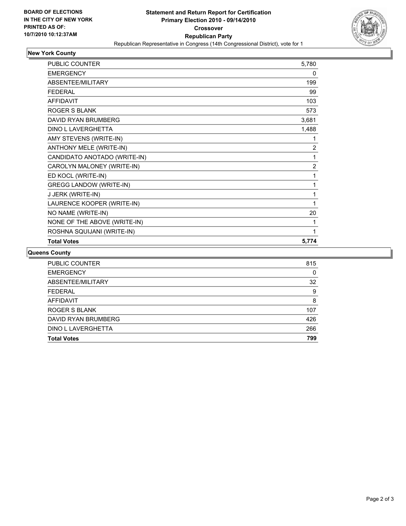

## **New York County**

| <b>PUBLIC COUNTER</b>          | 5,780          |
|--------------------------------|----------------|
| <b>EMERGENCY</b>               | 0              |
| <b>ABSENTEE/MILITARY</b>       | 199            |
| <b>FFDFRAL</b>                 | 99             |
| <b>AFFIDAVIT</b>               | 103            |
| <b>ROGER S BLANK</b>           | 573            |
| DAVID RYAN BRUMBERG            | 3,681          |
| DINO L LAVERGHETTA             | 1,488          |
| AMY STEVENS (WRITE-IN)         | 1              |
| ANTHONY MELE (WRITE-IN)        | $\overline{2}$ |
| CANDIDATO ANOTADO (WRITE-IN)   | 1              |
| CAROLYN MALONEY (WRITE-IN)     | $\overline{2}$ |
| ED KOCL (WRITE-IN)             | 1              |
| <b>GREGG LANDOW (WRITE-IN)</b> | 1              |
| J JERK (WRITE-IN)              | 1              |
| LAURENCE KOOPER (WRITE-IN)     | 1              |
| NO NAME (WRITE-IN)             | 20             |
| NONE OF THE ABOVE (WRITE-IN)   | 1              |
| ROSHNA SQUIJANI (WRITE-IN)     | 1              |
| <b>Total Votes</b>             | 5,774          |

#### **Queens County**

| <b>Total Votes</b>  | 799 |
|---------------------|-----|
| DINO L LAVERGHETTA  | 266 |
| DAVID RYAN BRUMBERG | 426 |
| ROGER S BLANK       | 107 |
| <b>AFFIDAVIT</b>    | 8   |
| <b>FEDERAL</b>      | 9   |
| ABSENTEE/MILITARY   | 32  |
| <b>EMERGENCY</b>    | 0   |
| PUBLIC COUNTER      | 815 |